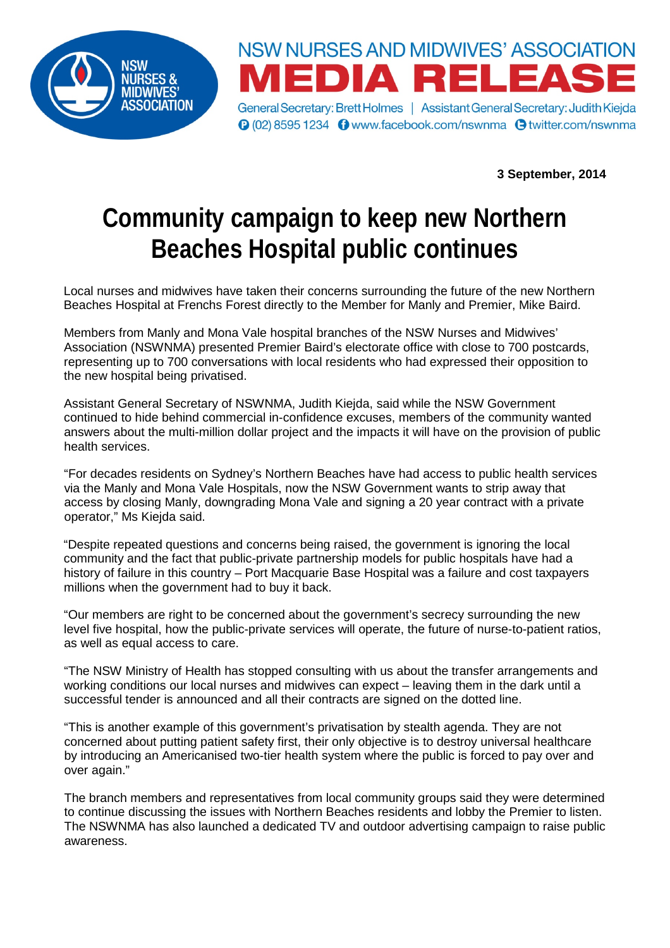



**O** (02) 8595 1234 **O** www.facebook.com/nswnma **O** twitter.com/nswnma

**3 September, 2014**

## **Community campaign to keep new Northern Beaches Hospital public continues**

Local nurses and midwives have taken their concerns surrounding the future of the new Northern Beaches Hospital at Frenchs Forest directly to the Member for Manly and Premier, Mike Baird.

Members from Manly and Mona Vale hospital branches of the NSW Nurses and Midwives' Association (NSWNMA) presented Premier Baird's electorate office with close to 700 postcards, representing up to 700 conversations with local residents who had expressed their opposition to the new hospital being privatised.

Assistant General Secretary of NSWNMA, Judith Kiejda, said while the NSW Government continued to hide behind commercial in-confidence excuses, members of the community wanted answers about the multi-million dollar project and the impacts it will have on the provision of public health services.

"For decades residents on Sydney's Northern Beaches have had access to public health services via the Manly and Mona Vale Hospitals, now the NSW Government wants to strip away that access by closing Manly, downgrading Mona Vale and signing a 20 year contract with a private operator," Ms Kiejda said.

"Despite repeated questions and concerns being raised, the government is ignoring the local community and the fact that public-private partnership models for public hospitals have had a history of failure in this country – Port Macquarie Base Hospital was a failure and cost taxpayers millions when the government had to buy it back.

"Our members are right to be concerned about the government's secrecy surrounding the new level five hospital, how the public-private services will operate, the future of nurse-to-patient ratios, as well as equal access to care.

"The NSW Ministry of Health has stopped consulting with us about the transfer arrangements and working conditions our local nurses and midwives can expect – leaving them in the dark until a successful tender is announced and all their contracts are signed on the dotted line.

"This is another example of this government's privatisation by stealth agenda. They are not concerned about putting patient safety first, their only objective is to destroy universal healthcare by introducing an Americanised two-tier health system where the public is forced to pay over and over again."

The branch members and representatives from local community groups said they were determined to continue discussing the issues with Northern Beaches residents and lobby the Premier to listen. The NSWNMA has also launched a dedicated TV and outdoor advertising campaign to raise public awareness.